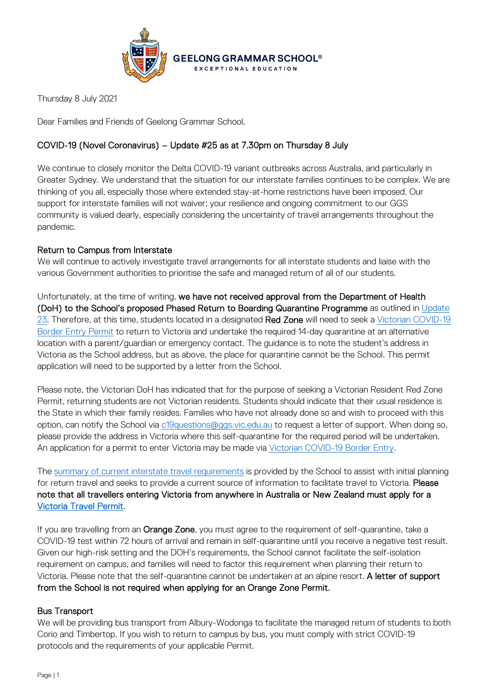

Thursday 8 July 2021

Dear Families and Friends of Geelong Grammar School,

# COVID-19 (Novel Coronavirus) – Update #25 as at 7.30pm on Thursday 8 July

We continue to closely monitor the Delta COVID-19 variant outbreaks across Australia, and particularly in Greater Sydney. We understand that the situation for our interstate families continues to be complex. We are thinking of you all, especially those where extended stay-at-home restrictions have been imposed. Our support for interstate families will not waiver; your resilience and ongoing commitment to our GGS community is valued dearly, especially considering the uncertainty of travel arrangements throughout the pandemic.

# Return to Campus from Interstate

We will continue to actively investigate travel arrangements for all interstate students and liaise with the various Government authorities to prioritise the safe and managed return of all of our students.

Unfortunately, at the time of writing, we have not received approval from the Department of Health (DoH) to the School's proposed Phased Return to Boarding Quarantine Programme as outlined in [Update](https://www.ggs.vic.edu.au/ArticleDocuments/1007/Coronavirus%20Update%2023_300621.pdf.aspx)  [23.](https://www.ggs.vic.edu.au/ArticleDocuments/1007/Coronavirus%20Update%2023_300621.pdf.aspx) Therefore, at this time, students located in a designated Red Zone will need to seek a Victorian COVID-19 [Border Entry](https://www.service.vic.gov.au/services/border-permit/home) Permit to return to Victoria and undertake the required 14-day quarantine at an alternative location with a parent/guardian or emergency contact. The guidance is to note the student's address in Victoria as the School address, but as above, the place for quarantine cannot be the School. This permit application will need to be supported by a letter from the School.

Please note, the Victorian DoH has indicated that for the purpose of seeking a Victorian Resident Red Zone Permit, returning students are not Victorian residents. Students should indicate that their usual residence is the State in which their family resides. Families who have not already done so and wish to proceed with this option, can notify the School via [c19questions@ggs.vic.edu.au](mailto:c19questions@ggs.vic.edu.au) to request a letter of support. When doing so, please provide the address in Victoria where this self-quarantine for the required period will be undertaken. An application for a permit to enter Victoria may be made via [Victorian COVID-19 Border Entry.](https://www.service.vic.gov.au/services/border-permit/home)

The [summary of current interstate travel requirements](https://www.ggs.vic.edu.au/school/our-school/leadership-and-governance/recent-statements/covid-19/interstate-travel) is provided by the School to assist with initial planning for return travel and seeks to provide a current source of information to facilitate travel to Victoria. Please note that all travellers entering Victoria from anywhere in Australia or New Zealand must apply for a [Victoria Travel Permit.](https://www.coronavirus.vic.gov.au/victorian-travel-permit-system)

If you are travelling from an Orange Zone, you must agree to the requirement of self-quarantine, take a COVID-19 test within 72 hours of arrival and remain in self-quarantine until you receive a negative test result. Given our high-risk setting and the DOH's requirements, the School cannot facilitate the self-isolation requirement on campus, and families will need to factor this requirement when planning their return to Victoria. Please note that the self-quarantine cannot be undertaken at an alpine resort. A letter of support from the School is not required when applying for an Orange Zone Permit.

## Bus Transport

We will be providing bus transport from Albury-Wodonga to facilitate the managed return of students to both Corio and Timbertop. If you wish to return to campus by bus, you must comply with strict COVID-19 protocols and the requirements of your applicable Permit.